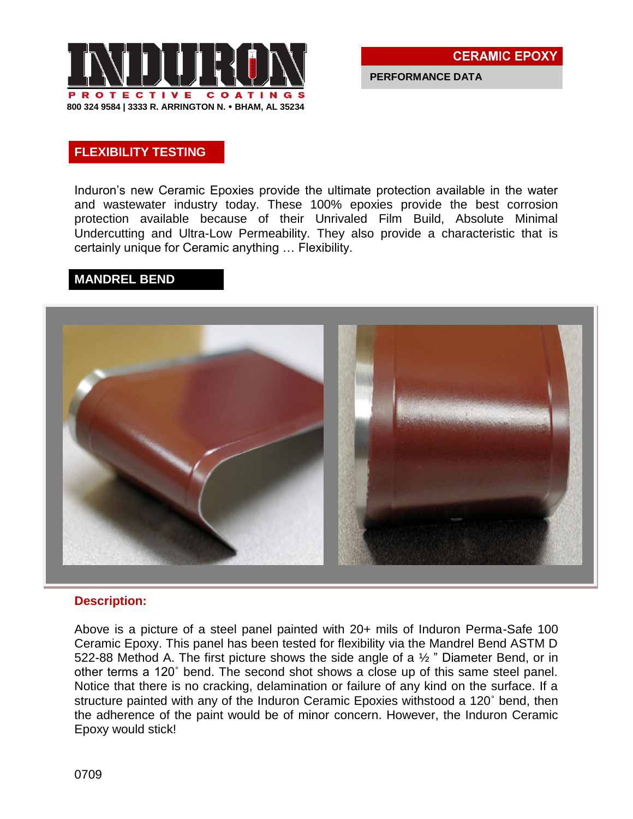

**PERFORMANCE DATA**

## **FLEXIBILITY TESTING**

Induron's new Ceramic Epoxies provide the ultimate protection available in the water and wastewater industry today. These 100% epoxies provide the best corrosion protection available because of their Unrivaled Film Build, Absolute Minimal Undercutting and Ultra-Low Permeability. They also provide a characteristic that is certainly unique for Ceramic anything … Flexibility.

### **MANDREL BEND**



#### **Description:**

Above is a picture of a steel panel painted with 20+ mils of Induron Perma-Safe 100 Ceramic Epoxy. This panel has been tested for flexibility via the Mandrel Bend ASTM D 522-88 Method A. The first picture shows the side angle of a  $\frac{1}{2}$  " Diameter Bend, or in other terms a 120˚ bend. The second shot shows a close up of this same steel panel. Notice that there is no cracking, delamination or failure of any kind on the surface. If a structure painted with any of the Induron Ceramic Epoxies withstood a 120˚ bend, then the adherence of the paint would be of minor concern. However, the Induron Ceramic Epoxy would stick!